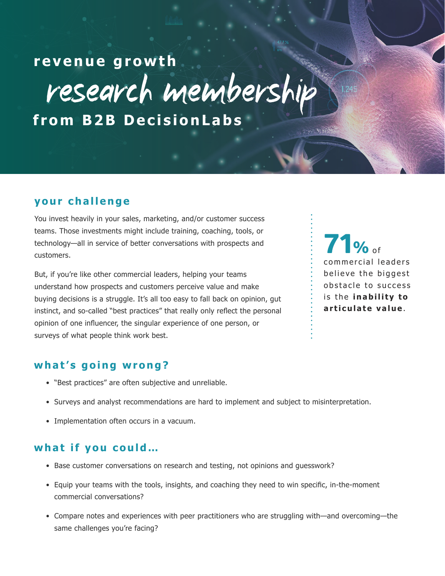research membership **revenue growth**

**from B2B DecisionLabs**

## **your challenge**

You invest heavily in your sales, marketing, and/or customer success teams. Those investments might include training, coaching, tools, or technology—all in service of better conversations with prospects and customers.

But, if you're like other commercial leaders, helping your teams understand how prospects and customers perceive value and make buying decisions is a struggle. It's all too easy to fall back on opinion, gut instinct, and so-called "best practices" that really only reflect the personal opinion of one influencer, the singular experience of one person, or surveys of what people think work best.

71% of commercial leaders believe the biggest obstacle to success is the **inability to articulate value**.

## **what's going wrong?**

- "Best practices" are often subjective and unreliable.
- Surveys and analyst recommendations are hard to implement and subject to misinterpretation.
- Implementation often occurs in a vacuum.

## **what if you could…**

- Base customer conversations on research and testing, not opinions and guesswork?
- Equip your teams with the tools, insights, and coaching they need to win specific, in-the-moment commercial conversations?
- Compare notes and experiences with peer practitioners who are struggling with—and overcoming—the same challenges you're facing?